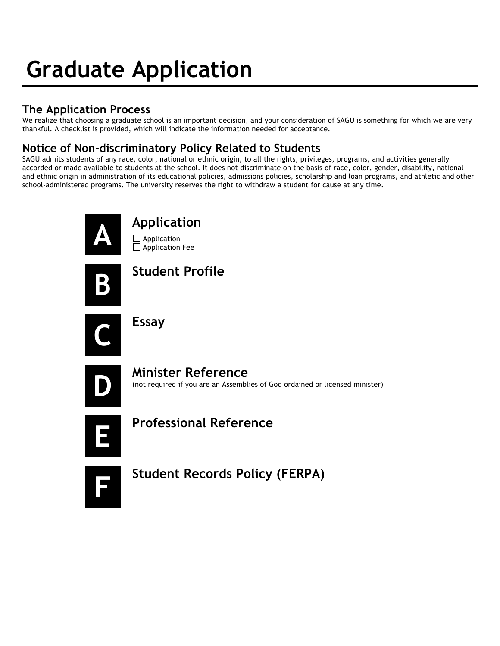# **Graduate Application**

## **The Application Process**

We realize that choosing a graduate school is an important decision, and your consideration of SAGU is something for which we are very thankful. A checklist is provided, which will indicate the information needed for acceptance.

## **Notice of Non-discriminatory Policy Related to Students**

SAGU admits students of any race, color, national or ethnic origin, to all the rights, privileges, programs, and activities generally accorded or made available to students at the school. It does not discriminate on the basis of race, color, gender, disability, national and ethnic origin in administration of its educational policies, admissions policies, scholarship and loan programs, and athletic and other school-administered programs. The university reserves the right to withdraw a student for cause at any time.



# **A Application**

**D** Application  $\Box$  Application Fee

**B Student Profile**



**C Essay**



**Minister Reference** (not required if you are an Assemblies of God ordained or licensed minister)



**E Professional Reference** 



**F Student Records Policy (FERPA)**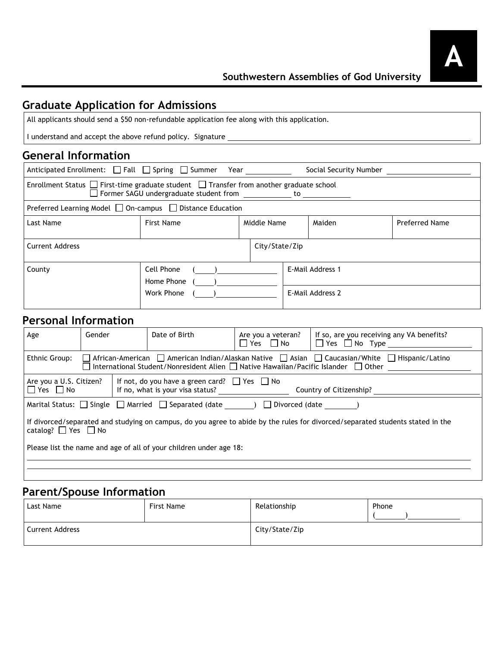## **Graduate Application for Admissions**

All applicants should send a \$50 non-refundable application fee along with this application.

I understand and accept the above refund policy. Signature \_\_

#### **General Information**

| Anticipated Enrollment: □ Fall □ Spring □ Summer Year                                                                                                     |                                        |             |  | Social Security Number               |                       |  |
|-----------------------------------------------------------------------------------------------------------------------------------------------------------|----------------------------------------|-------------|--|--------------------------------------|-----------------------|--|
| Enrollment Status $\Box$ First-time graduate student $\Box$ Transfer from another graduate school<br>$\Box$ Former SAGU undergraduate student from $\Box$ |                                        |             |  |                                      |                       |  |
| Preferred Learning Model $\Box$ On-campus $\Box$ Distance Education                                                                                       |                                        |             |  |                                      |                       |  |
| Last Name                                                                                                                                                 | First Name                             | Middle Name |  | Maiden                               | <b>Preferred Name</b> |  |
| <b>Current Address</b><br>City/State/Zip                                                                                                                  |                                        |             |  |                                      |                       |  |
| County                                                                                                                                                    | Cell Phone<br>Home Phone<br>Work Phone |             |  | E-Mail Address 1<br>E-Mail Address 2 |                       |  |

#### **Personal Information**

| Age                                                                                                                                                                                                                                              | Gender                                                                                                                                           |  | Date of Birth | Are you a veteran?<br>$\Box$ Yes $\Box$ No | If so, are you receiving any VA benefits?<br>$\Box$ Yes $\Box$ No Type |  |
|--------------------------------------------------------------------------------------------------------------------------------------------------------------------------------------------------------------------------------------------------|--------------------------------------------------------------------------------------------------------------------------------------------------|--|---------------|--------------------------------------------|------------------------------------------------------------------------|--|
| $\Box$ African-American $\Box$ American Indian/Alaskan Native $\Box$ Asian $\Box$ Caucasian/White $\Box$ Hispanic/Latino<br>Ethnic Group:<br>$\Box$ International Student/Nonresident Alien $\Box$ Native Hawaiian/Pacific Islander $\Box$ Other |                                                                                                                                                  |  |               |                                            |                                                                        |  |
| $\Box$ Yes $\Box$ No                                                                                                                                                                                                                             | If not, do you have a green card? $\Box$ Yes $\Box$ No<br>Are you a U.S. Citizen?<br>If no, what is your visa status?<br>Country of Citizenship? |  |               |                                            |                                                                        |  |
| Marital Status: $\Box$ Single $\Box$ Married $\Box$ Separated (date $\Box$ )<br>Divorced (date and all of the set of the set of the set of the set of the set of the set of the set o                                                            |                                                                                                                                                  |  |               |                                            |                                                                        |  |
| If divorced/separated and studying on campus, do you agree to abide by the rules for divorced/separated students stated in the<br>catalog? $\Box$ Yes $\Box$ No                                                                                  |                                                                                                                                                  |  |               |                                            |                                                                        |  |
| Please list the name and age of all of your children under age 18:                                                                                                                                                                               |                                                                                                                                                  |  |               |                                            |                                                                        |  |
|                                                                                                                                                                                                                                                  |                                                                                                                                                  |  |               |                                            |                                                                        |  |

#### **Parent/Spouse Information**

| Last Name              | First Name | Relationship   | Phone |
|------------------------|------------|----------------|-------|
| <b>Current Address</b> |            | City/State/Zip |       |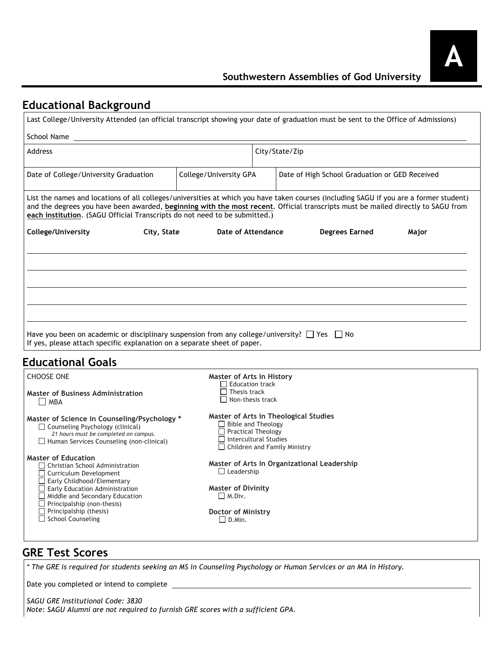## **Educational Background**

| Last College/University Attended (an official transcript showing your date of graduation must be sent to the Office of Admissions)                                                                                                                                                                                                                                                                                                                                     |                                                                                                                                                                        |                                                |       |
|------------------------------------------------------------------------------------------------------------------------------------------------------------------------------------------------------------------------------------------------------------------------------------------------------------------------------------------------------------------------------------------------------------------------------------------------------------------------|------------------------------------------------------------------------------------------------------------------------------------------------------------------------|------------------------------------------------|-------|
| School Name                                                                                                                                                                                                                                                                                                                                                                                                                                                            |                                                                                                                                                                        |                                                |       |
| <b>Address</b>                                                                                                                                                                                                                                                                                                                                                                                                                                                         |                                                                                                                                                                        | City/State/Zip                                 |       |
| Date of College/University Graduation                                                                                                                                                                                                                                                                                                                                                                                                                                  | College/University GPA                                                                                                                                                 | Date of High School Graduation or GED Received |       |
| List the names and locations of all colleges/universities at which you have taken courses (including SAGU if you are a former student)<br>and the degrees you have been awarded, beginning with the most recent. Official transcripts must be mailed directly to SAGU from<br>each institution. (SAGU Official Transcripts do not need to be submitted.)                                                                                                               |                                                                                                                                                                        |                                                |       |
| College/University<br>City, State                                                                                                                                                                                                                                                                                                                                                                                                                                      | Date of Attendance                                                                                                                                                     | <b>Degrees Earned</b>                          | Major |
|                                                                                                                                                                                                                                                                                                                                                                                                                                                                        |                                                                                                                                                                        |                                                |       |
| $\Box$ MBA                                                                                                                                                                                                                                                                                                                                                                                                                                                             | Master of Arts in History<br>$\Box$ Education track<br>$\Box$ Thesis track<br>$\Box$ Non-thesis track                                                                  |                                                |       |
| Have you been on academic or disciplinary suspension from any college/university? $\Box$ Yes $\Box$ No<br>If yes, please attach specific explanation on a separate sheet of paper.<br><b>Educational Goals</b><br><b>CHOOSE ONE</b><br><b>Master of Business Administration</b><br>Master of Science in Counseling/Psychology *<br>$\Box$ Counseling Psychology (clinical)<br>21 hours must be completed on campus.<br>$\Box$ Human Services Counseling (non-clinical) | Master of Arts in Theological Studies<br>$\Box$ Bible and Theology<br>$\Box$ Practical Theology<br>$\Box$ Intercultural Studies<br>$\Box$ Children and Family Ministry |                                                |       |
| Christian School Administration<br>Curriculum Development<br>Early Childhood/Elementary                                                                                                                                                                                                                                                                                                                                                                                | $\Box$ Leadership                                                                                                                                                      | Master of Arts in Organizational Leadership    |       |
| <b>Master of Education</b><br>$\Box$ Early Education Administration<br>$\Box$ Middle and Secondary Education<br>$\Box$ Principalship (non-thesis)<br>$\Box$ Principalship (thesis)                                                                                                                                                                                                                                                                                     | <b>Master of Divinity</b><br>$\Box$ M.Div.<br>Doctor of Ministry                                                                                                       |                                                |       |

### **GRE Test Scores**

*\* The GRE is required for students seeking an MS in Counseling Psychology or Human Services or an MA in History.*

Date you completed or intend to complete \_

*SAGU GRE Institutional Code: 3830 Note: SAGU Alumni are not required to furnish GRE scores with a sufficient GPA.*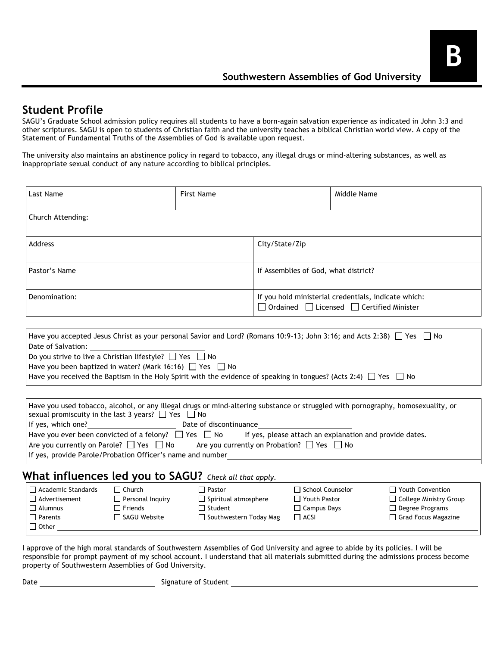#### **Student Profile**

SAGU's Graduate School admission policy requires all students to have a born-again salvation experience as indicated in John 3:3 and other scriptures. SAGU is open to students of Christian faith and the university teaches a biblical Christian world view. A copy of the Statement of Fundamental Truths of the Assemblies of God is available upon request.

The university also maintains an abstinence policy in regard to tobacco, any illegal drugs or mind-altering substances, as well as inappropriate sexual conduct of any nature according to biblical principles.

| Last Name                                                                                             |                                                                                                                                                                                                                                                                                                                                                                                                                                                                                                                                                                                                               | <b>First Name</b>                                                                          |                                                                                                                   | Middle Name                                              |                                                                                                      |  |  |
|-------------------------------------------------------------------------------------------------------|---------------------------------------------------------------------------------------------------------------------------------------------------------------------------------------------------------------------------------------------------------------------------------------------------------------------------------------------------------------------------------------------------------------------------------------------------------------------------------------------------------------------------------------------------------------------------------------------------------------|--------------------------------------------------------------------------------------------|-------------------------------------------------------------------------------------------------------------------|----------------------------------------------------------|------------------------------------------------------------------------------------------------------|--|--|
| Church Attending:                                                                                     |                                                                                                                                                                                                                                                                                                                                                                                                                                                                                                                                                                                                               |                                                                                            |                                                                                                                   |                                                          |                                                                                                      |  |  |
| Address                                                                                               |                                                                                                                                                                                                                                                                                                                                                                                                                                                                                                                                                                                                               | City/State/Zip                                                                             |                                                                                                                   |                                                          |                                                                                                      |  |  |
| Pastor's Name                                                                                         |                                                                                                                                                                                                                                                                                                                                                                                                                                                                                                                                                                                                               |                                                                                            | If Assemblies of God, what district?                                                                              |                                                          |                                                                                                      |  |  |
| Denomination:                                                                                         |                                                                                                                                                                                                                                                                                                                                                                                                                                                                                                                                                                                                               |                                                                                            | If you hold ministerial credentials, indicate which:<br>$\Box$ Ordained $\Box$ Licensed $\Box$ Certified Minister |                                                          |                                                                                                      |  |  |
|                                                                                                       |                                                                                                                                                                                                                                                                                                                                                                                                                                                                                                                                                                                                               |                                                                                            |                                                                                                                   |                                                          |                                                                                                      |  |  |
| Date of Salvation:                                                                                    | Have you accepted Jesus Christ as your personal Savior and Lord? (Romans 10:9-13; John 3:16; and Acts 2:38) $\Box$ Yes $\Box$ No<br>Do you strive to live a Christian lifestyle? $\Box$ Yes $\Box$ No<br>Have you been baptized in water? (Mark 16:16) $\Box$ Yes $\Box$ No<br>Have you received the Baptism in the Holy Spirit with the evidence of speaking in tongues? (Acts 2:4) $\Box$ Yes $\Box$ No<br>Have you used tobacco, alcohol, or any illegal drugs or mind-altering substance or struggled with pornography, homosexuality, or<br>sexual promiscuity in the last 3 years? $\Box$ Yes $\Box$ No |                                                                                            |                                                                                                                   |                                                          |                                                                                                      |  |  |
| If yes, which one?                                                                                    |                                                                                                                                                                                                                                                                                                                                                                                                                                                                                                                                                                                                               | Date of discontinuance                                                                     |                                                                                                                   |                                                          |                                                                                                      |  |  |
|                                                                                                       | Have you ever been convicted of a felony? $\Box$ Yes $\Box$ No If yes, please attach an explanation and provide dates.<br>Are you currently on Parole? $\Box$ Yes $\Box$ No Are you currently on Probation? $\Box$ Yes $\Box$ No<br>If yes, provide Parole/Probation Officer's name and number                                                                                                                                                                                                                                                                                                                |                                                                                            |                                                                                                                   |                                                          |                                                                                                      |  |  |
| What influences led you to SAGU? Check all that apply.                                                |                                                                                                                                                                                                                                                                                                                                                                                                                                                                                                                                                                                                               |                                                                                            |                                                                                                                   |                                                          |                                                                                                      |  |  |
| $\Box$ Academic Standards<br>$\Box$ Advertisement<br>$\Box$ Alumnus<br>$\Box$ Parents<br>$\Box$ Other | $\Box$ Church<br>$\Box$ Personal Inquiry<br>$\Box$ Friends<br>□ SAGU Website                                                                                                                                                                                                                                                                                                                                                                                                                                                                                                                                  | $\Box$ Pastor<br>$\Box$ Spiritual atmosphere<br>$\Box$ Student<br>□ Southwestern Today Mag | $\Box$ ACSI                                                                                                       | School Counselor<br>□ Youth Pastor<br>$\Box$ Campus Days | $\Box$ Youth Convention<br>□ College Ministry Group<br>$\Box$ Degree Programs<br>Grad Focus Magazine |  |  |

I approve of the high moral standards of Southwestern Assemblies of God University and agree to abide by its policies. I will be responsible for prompt payment of my school account. I understand that all materials submitted during the admissions process become property of Southwestern Assemblies of God University.

Date Signature of Student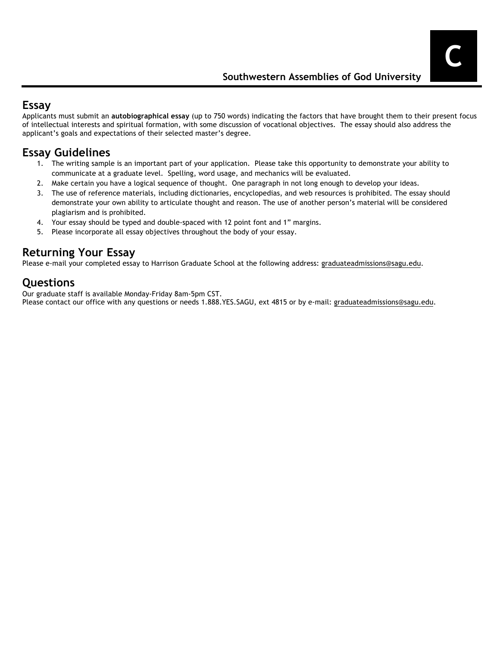#### **Essay**

Applicants must submit an **autobiographical essay** (up to 750 words) indicating the factors that have brought them to their present focus of intellectual interests and spiritual formation, with some discussion of vocational objectives. The essay should also address the applicant's goals and expectations of their selected master's degree.

## **Essay Guidelines**

- 1. The writing sample is an important part of your application. Please take this opportunity to demonstrate your ability to communicate at a graduate level. Spelling, word usage, and mechanics will be evaluated.
- 2. Make certain you have a logical sequence of thought. One paragraph in not long enough to develop your ideas.
- 3. The use of reference materials, including dictionaries, encyclopedias, and web resources is prohibited. The essay should demonstrate your own ability to articulate thought and reason. The use of another person's material will be considered plagiarism and is prohibited.
- 4. Your essay should be typed and double-spaced with 12 point font and 1" margins.
- 5. Please incorporate all essay objectives throughout the body of your essay.

## **Returning Your Essay**

Please e-mail your completed essay to Harrison Graduate School at the following address: graduateadmissions@sagu.edu.

#### **Questions**

Our graduate staff is available Monday-Friday 8am-5pm CST.

Please contact our office with any questions or needs 1.888.YES.SAGU, ext 4815 or by e-mail: graduateadmissions@sagu.edu.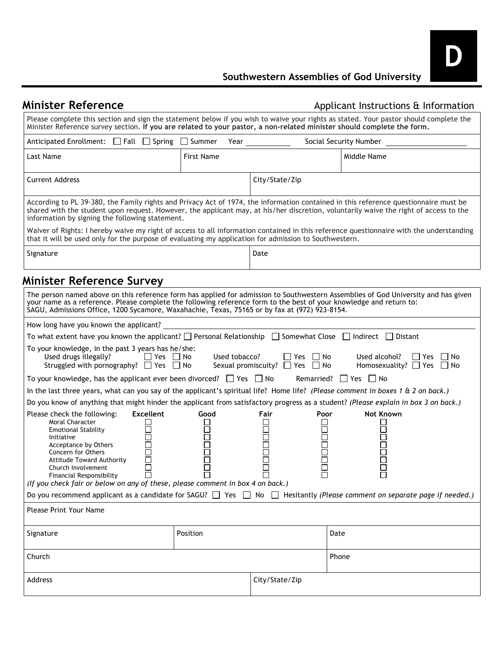| <b>Minister Reference</b>                                                                                                                                                                                                             |                                       |                                                                                                                                                                                                                                    |                                 | Applicant Instructions & Information                                                                                                                                                                                                                                          |
|---------------------------------------------------------------------------------------------------------------------------------------------------------------------------------------------------------------------------------------|---------------------------------------|------------------------------------------------------------------------------------------------------------------------------------------------------------------------------------------------------------------------------------|---------------------------------|-------------------------------------------------------------------------------------------------------------------------------------------------------------------------------------------------------------------------------------------------------------------------------|
| Minister Reference survey section. If you are related to your pastor, a non-related minister should complete the form.                                                                                                                |                                       |                                                                                                                                                                                                                                    |                                 | Please complete this section and sign the statement below if you wish to waive your rights as stated. Your pastor should complete the                                                                                                                                         |
| Anticipated Enrollment: $\Box$ Fall $\Box$ Spring $\Box$ Summer                                                                                                                                                                       |                                       | <b>Year Secondary Street Street Street Street Street Street Street Street Street Street Street Street Street Street Street Street Street Street Street Street Street Street Street Street Street Street Street Street Street S</b> |                                 | Social Security Number                                                                                                                                                                                                                                                        |
| Last Name                                                                                                                                                                                                                             | <b>First Name</b>                     |                                                                                                                                                                                                                                    |                                 | Middle Name                                                                                                                                                                                                                                                                   |
| <b>Current Address</b>                                                                                                                                                                                                                |                                       | City/State/Zip                                                                                                                                                                                                                     |                                 |                                                                                                                                                                                                                                                                               |
| information by signing the following statement.                                                                                                                                                                                       |                                       |                                                                                                                                                                                                                                    |                                 | According to PL 39-380, the Family rights and Privacy Act of 1974, the information contained in this reference questionnaire must be<br>shared with the student upon request. However, the applicant may, at his/her discretion, voluntarily waive the right of access to the |
| that it will be used only for the purpose of evaluating my application for admission to Southwestern.                                                                                                                                 |                                       |                                                                                                                                                                                                                                    |                                 | Waiver of Rights: I hereby waive my right of access to all information contained in this reference questionnaire with the understanding                                                                                                                                       |
| Signature                                                                                                                                                                                                                             |                                       | Date                                                                                                                                                                                                                               |                                 |                                                                                                                                                                                                                                                                               |
| Minister Reference Survey                                                                                                                                                                                                             |                                       |                                                                                                                                                                                                                                    |                                 |                                                                                                                                                                                                                                                                               |
| your name as a reference. Please complete the following reference form to the best of your knowledge and return to:<br>SAGU, Admissions Office, 1200 Sycamore, Waxahachie, Texas, 75165 or by fax at (972) 923-8154.                  |                                       |                                                                                                                                                                                                                                    |                                 | The person named above on this reference form has applied for admission to Southwestern Assemblies of God University and has given                                                                                                                                            |
| How long have you known the applicant?                                                                                                                                                                                                |                                       |                                                                                                                                                                                                                                    |                                 |                                                                                                                                                                                                                                                                               |
| To what extent have you known the applicant? $\Box$ Personal Relationship $\Box$ Somewhat Close $\Box$ Indirect $\Box$ Distant                                                                                                        |                                       |                                                                                                                                                                                                                                    |                                 |                                                                                                                                                                                                                                                                               |
| To your knowledge, in the past 3 years has he/she:<br>Used drugs illegally?<br>Struggled with pornography? $\Box$ Yes $\Box$ No                                                                                                       | $\Box$ Yes $\Box$ No<br>Used tobacco? | l lYes<br>Sexual promiscuity? $\Box$ Yes $\Box$ No                                                                                                                                                                                 | No                              | Used alcohol?<br>l Yes<br>l I No<br>Homosexuality? $\Box$ Yes $\Box$ No                                                                                                                                                                                                       |
| To your knowledge, has the applicant ever been divorced? $\Box$ Yes $\Box$ No                                                                                                                                                         |                                       |                                                                                                                                                                                                                                    | Remarried? $\Box$ Yes $\Box$ No |                                                                                                                                                                                                                                                                               |
| In the last three years, what can you say of the applicant's spiritual life? Home life? (Please comment in boxes 1 & 2 on back.)                                                                                                      |                                       |                                                                                                                                                                                                                                    |                                 |                                                                                                                                                                                                                                                                               |
| Do you know of anything that might hinder the applicant from satisfactory progress as a student? (Please explain in box 3 on back.)                                                                                                   |                                       |                                                                                                                                                                                                                                    |                                 |                                                                                                                                                                                                                                                                               |
| Please check the following:<br>Moral Character<br><b>Emotional Stability</b><br>Initiative<br>Acceptance by Others<br>Concern for Others<br><b>Attitude Toward Authority</b><br>Church Involvement<br><b>Financial Responsibility</b> | Excellent<br>Good<br>$\mathsf{L}$     | Fair<br>П                                                                                                                                                                                                                          | Poor<br>П<br>$\Box$<br>Г        | Not Known                                                                                                                                                                                                                                                                     |

Do you recommend applicant as a candidate for SAGU? □ Yes □ No □ Hesitantly *(Please comment on separate page if needed.)* Please Print Your Name Signature **Date Position Position Position Position Date** Church Phone Address contracts and the contracts of the City/State/Zip

*(If you check fair or below on any of these, please comment in box 4 on back.)*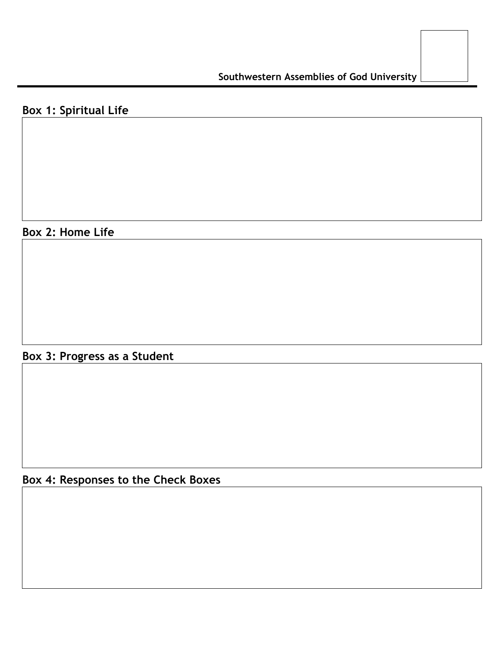# **Box 1: Spiritual Life**

## **Box 2: Home Life**

**Box 3: Progress as a Student**

# **Box 4: Responses to the Check Boxes**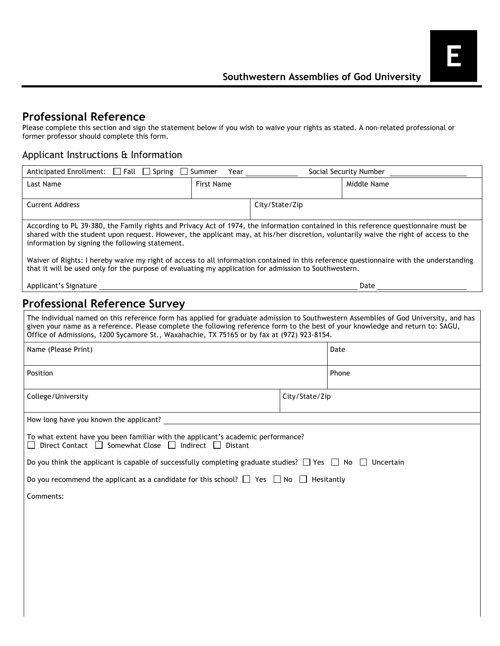#### **Professional Reference**

Please complete this section and sign the statement below if you wish to waive your rights as stated. A non-related professional or former professor should complete this form.

#### Applicant Instructions & Information

| Anticipated Enrollment: □ Fall □ Spring □ Summer                                                                                                                                                                                                                                                                                                                      | Year              |                |                | Social Security Number |  |  |
|-----------------------------------------------------------------------------------------------------------------------------------------------------------------------------------------------------------------------------------------------------------------------------------------------------------------------------------------------------------------------|-------------------|----------------|----------------|------------------------|--|--|
| Last Name                                                                                                                                                                                                                                                                                                                                                             | <b>First Name</b> |                |                | Middle Name            |  |  |
| <b>Current Address</b>                                                                                                                                                                                                                                                                                                                                                |                   | City/State/Zip |                |                        |  |  |
| According to PL 39-380, the Family rights and Privacy Act of 1974, the information contained in this reference questionnaire must be<br>shared with the student upon request. However, the applicant may, at his/her discretion, voluntarily waive the right of access to the<br>information by signing the following statement.                                      |                   |                |                |                        |  |  |
| Waiver of Rights: I hereby waive my right of access to all information contained in this reference questionnaire with the understanding<br>that it will be used only for the purpose of evaluating my application for admission to Southwestern.                                                                                                                      |                   |                |                |                        |  |  |
|                                                                                                                                                                                                                                                                                                                                                                       |                   |                |                | Date                   |  |  |
| <b>Professional Reference Survey</b>                                                                                                                                                                                                                                                                                                                                  |                   |                |                |                        |  |  |
| The individual named on this reference form has applied for graduate admission to Southwestern Assemblies of God University, and has<br>given your name as a reference. Please complete the following reference form to the best of your knowledge and return to: SAGU,<br>Office of Admissions, 1200 Sycamore St., Waxahachie, TX 75165 or by fax at (972) 923-8154. |                   |                |                |                        |  |  |
| Name (Please Print)                                                                                                                                                                                                                                                                                                                                                   |                   |                |                | Date                   |  |  |
| Position                                                                                                                                                                                                                                                                                                                                                              |                   |                |                | Phone                  |  |  |
| College/University                                                                                                                                                                                                                                                                                                                                                    |                   |                | City/State/Zip |                        |  |  |
| How long have you known the applicant?                                                                                                                                                                                                                                                                                                                                |                   |                |                |                        |  |  |
| To what extent have you been familiar with the applicant's academic performance?<br>Direct Contact □ Somewhat Close □ Indirect □ Distant                                                                                                                                                                                                                              |                   |                |                |                        |  |  |
| Do you think the applicant is capable of successfully completing graduate studies? $\Box$ Yes $\Box$ No $\Box$ Uncertain                                                                                                                                                                                                                                              |                   |                |                |                        |  |  |
| Do you recommend the applicant as a candidate for this school? $\Box$ Yes $\Box$ No $\Box$ Hesitantly                                                                                                                                                                                                                                                                 |                   |                |                |                        |  |  |
| Comments:                                                                                                                                                                                                                                                                                                                                                             |                   |                |                |                        |  |  |
|                                                                                                                                                                                                                                                                                                                                                                       |                   |                |                |                        |  |  |
|                                                                                                                                                                                                                                                                                                                                                                       |                   |                |                |                        |  |  |
|                                                                                                                                                                                                                                                                                                                                                                       |                   |                |                |                        |  |  |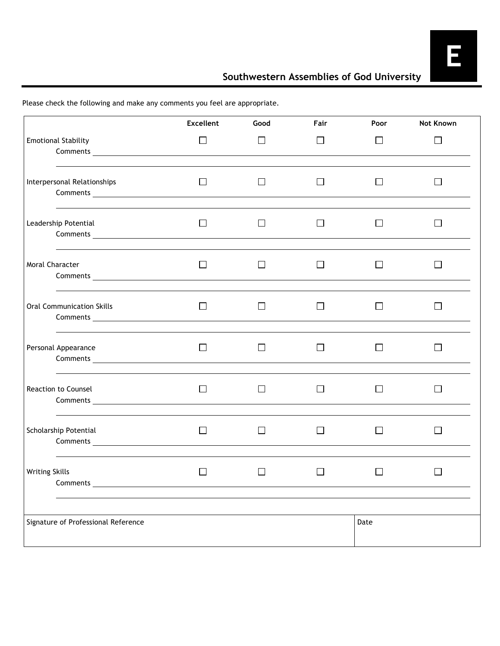## **Southwestern Assemblies of God University**

|                                                                                                                                                                                                                                                             | <b>Excellent</b> | Good         | Fair         | Poor                     | Not Known |
|-------------------------------------------------------------------------------------------------------------------------------------------------------------------------------------------------------------------------------------------------------------|------------------|--------------|--------------|--------------------------|-----------|
| <b>Emotional Stability</b><br><b>Comments Comments</b>                                                                                                                                                                                                      | $\Box$           | $\Box$       | $\Box$       | П                        | $\Box$    |
| Interpersonal Relationships                                                                                                                                                                                                                                 | $\perp$          | $\mathsf{L}$ | ⊔            |                          |           |
| Leadership Potential<br>Comments <u>comments</u> and contain the comments of the container of the container of the contact of the contact of the contact of the contact of the contact of the contact of the contact of the contact of the contact of the c | $\Box$           |              | $\mathsf{L}$ |                          |           |
| <b>Moral Character</b>                                                                                                                                                                                                                                      | $\blacksquare$   |              | ΙI           |                          |           |
| <b>Oral Communication Skills</b>                                                                                                                                                                                                                            | $\Box$           | Ш            | $\Box$       | $\perp$                  |           |
| Personal Appearance<br>Comments <u>and the comments</u> and the comments of the comments of the comments of the comments of the comments of the comments of the comments of the comments of the comments of the comments of the comments of the comments o  | П                |              | $\mathsf{L}$ |                          |           |
| Reaction to Counsel<br>Comments <u>and the comments</u> and the comments of the comments of the comments of the comments of the comments of the comments of the comments of the comments of the comments of the comments of the comments of the comments o  | $\Box$           | $\Box$       | $\Box$       | $\overline{\phantom{a}}$ |           |
| Scholarship Potential                                                                                                                                                                                                                                       | $\Box$           |              | $\Box$       |                          |           |
| <b>Writing Skills</b><br>Comments                                                                                                                                                                                                                           |                  |              |              |                          |           |
| Signature of Professional Reference                                                                                                                                                                                                                         |                  |              |              | Date                     |           |

Please check the following and make any comments you feel are appropriate.